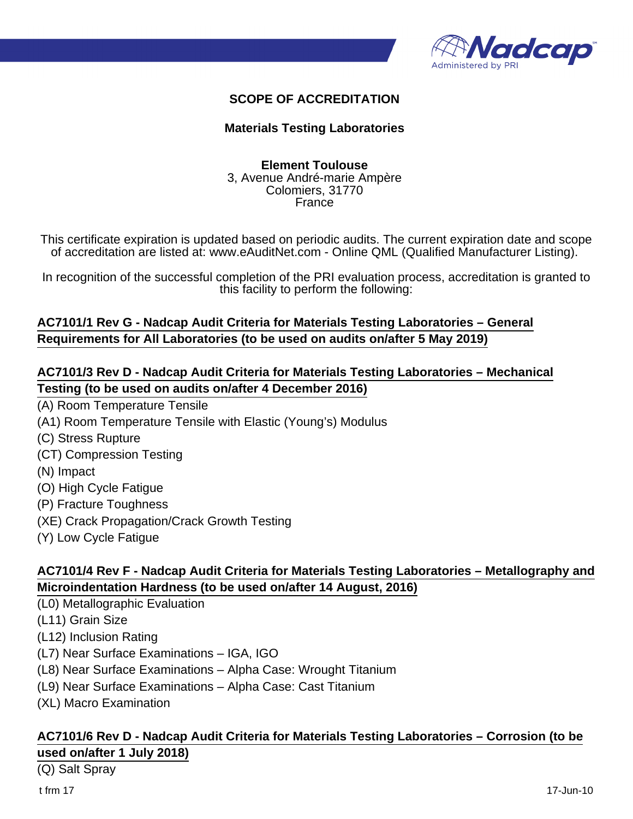

### **SCOPE OF ACCREDITATION**

#### **Materials Testing Laboratories**

#### **Element Toulouse** 3, Avenue André-marie Ampère Colomiers, 31770 France

This certificate expiration is updated based on periodic audits. The current expiration date and scope of accreditation are listed at: www.eAuditNet.com - Online QML (Qualified Manufacturer Listing).

In recognition of the successful completion of the PRI evaluation process, accreditation is granted to this facility to perform the following:

# **AC7101/1 Rev G - Nadcap Audit Criteria for Materials Testing Laboratories – General Requirements for All Laboratories (to be used on audits on/after 5 May 2019)**

# **AC7101/3 Rev D - Nadcap Audit Criteria for Materials Testing Laboratories – Mechanical Testing (to be used on audits on/after 4 December 2016)**

- (A) Room Temperature Tensile
- (A1) Room Temperature Tensile with Elastic (Young's) Modulus
- (C) Stress Rupture
- (CT) Compression Testing
- (N) Impact
- (O) High Cycle Fatigue
- (P) Fracture Toughness
- (XE) Crack Propagation/Crack Growth Testing
- (Y) Low Cycle Fatigue

# **AC7101/4 Rev F - Nadcap Audit Criteria for Materials Testing Laboratories – Metallography and Microindentation Hardness (to be used on/after 14 August, 2016)**

(L0) Metallographic Evaluation

- (L11) Grain Size
- (L12) Inclusion Rating
- (L7) Near Surface Examinations IGA, IGO
- (L8) Near Surface Examinations Alpha Case: Wrought Titanium
- (L9) Near Surface Examinations Alpha Case: Cast Titanium
- (XL) Macro Examination

### **AC7101/6 Rev D - Nadcap Audit Criteria for Materials Testing Laboratories – Corrosion (to be used on/after 1 July 2018)**

(Q) Salt Spray